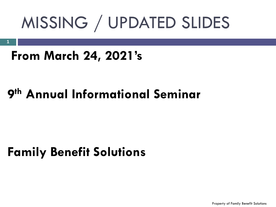# MISSING / UPDATED SLIDES

## **From March 24, 2021's**

**1**

## **9 th Annual Informational Seminar**

## **Family Benefit Solutions**

Property of Family Benefit Solutions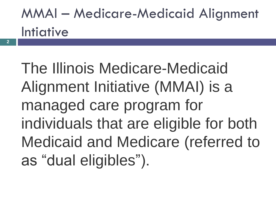## MMAI – Medicare-Medicaid Alignment Intiative

The Illinois Medicare-Medicaid Alignment Initiative (MMAI) is a managed care program for individuals that are eligible for both Medicaid and Medicare (referred to as "dual eligibles").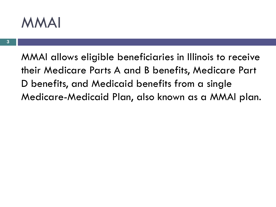## MMAI

MMAI allows eligible beneficiaries in Illinois to receive their Medicare Parts A and B benefits, Medicare Part D benefits, and Medicaid benefits from a single Medicare-Medicaid Plan, also known as a MMAI plan.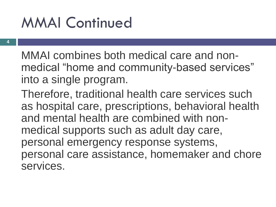## MMAI Continued

**4**

MMAI combines both medical care and nonmedical "home and community-based services" into a single program.

Therefore, traditional health care services such as hospital care, prescriptions, behavioral health and mental health are combined with nonmedical supports such as adult day care, personal emergency response systems, personal care assistance, homemaker and chore services.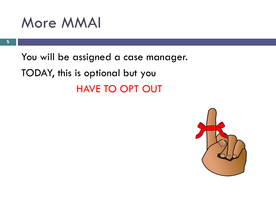## More MMAI

You will be assigned a case manager. TODAY, this is optional but you HAVE TO OPT OUT

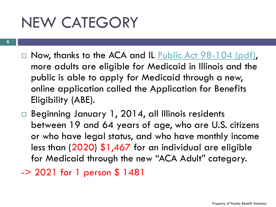## NEW CATEGORY

- $\Box$  Now, thanks to the ACA and IL [Public Act 98-104 \(pdf\)](http://www2.illinois.gov/hfs/SiteCollectionDocuments/098-0104.pdf), more adults are eligible for Medicaid in Illinois and the public is able to apply for Medicaid through a new, online application called the Application for Benefits Eligibility (ABE).
- $\Box$  Beginning January 1, 2014, all Illinois residents between 19 and 64 years of age, who are U.S. citizens or who have legal status, and who have monthly income less than (2020) \$1,467 for an individual are eligible for Medicaid through the new "ACA Adult" category.

-> 2021 for 1 person \$ 1481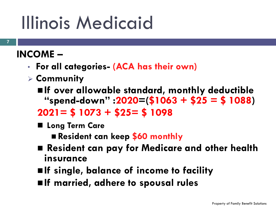# Illinois Medicaid

#### **INCOME –**

- **For all categories- (ACA has their own)**
- ➢ **Community**
	- ◼**If over allowable standard, monthly deductible "spend-down" :2020=(\$1063 + \$25 = \$ 1088) 2021= \$ 1073 + \$25= \$ 1098**
	- Long Term Care

◼ **Resident can keep \$60 monthly**

- Resident can pay for Medicare and other health **insurance**
- ◼**If single, balance of income to facility**
- ◼**If married, adhere to spousal rules**